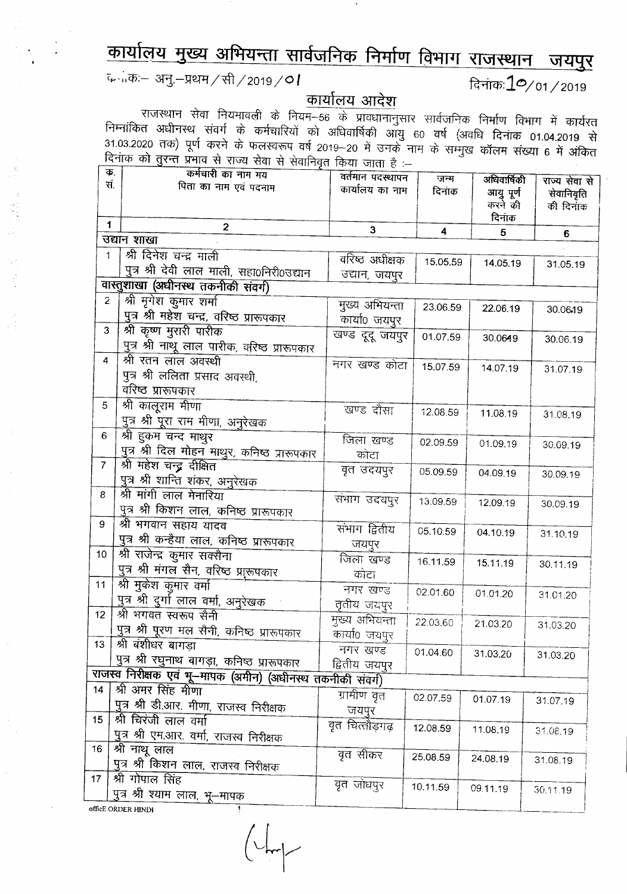## <u>कार्यालय मुख्य अभियन्ता सार्वजनिक निर्माण विभाग राजस्थान जयपुर</u>

c...;,cp:- *31j.->r~/m/2019/01* ~;:j145:10/01/2019

<u>कार्यालय आदेश</u>

राजस्थान सेवा नियमावली के नियम–56 के प्रावधानानुसार सार्वजनिक निर्माण विभाग में कार्यरत राज्यसम्पत्या अत्र संवर्गं के कर्मचारियों को अधिवार्षिकी आयु 60 वर्ष (अवधि दिनांक 01.04.2019 से<br>निम्नांकित अधीनस्थ संवर्ग के कर्मचारियों को अधिवार्षिकी आयु 60 वर्ष (अवधि दिनांक 01.04.2019 से 31.03.2020 तक) पूर्ण करने के फलस्वरूप वर्ष 2019-20 में उनके नाम के सम्मुख कॉलम संख्या 6 में अंकित रिनांक को तुरन्त प्रभाव से राज्य सेवा से सेवानिवृत किया जाता है :-

| Ф.<br>सं.       | कर्मचारी का नाम मय<br>पिता का नाम एवं पदनाम                | वर्तमान पदस्थापन | जन्म     | अधिवार्षिकी | राज्य सेवा से |
|-----------------|------------------------------------------------------------|------------------|----------|-------------|---------------|
|                 |                                                            | कार्यालय का नाम  | दिनाक    | आयु पूर्ण   | सेवानिवृति    |
|                 |                                                            |                  |          | करने की     | की दिनांक     |
| $\mathbf{1}$    | $\mathbf{2}$                                               | 3                | 4        | दिनांक      |               |
|                 | उद्यान शाखा                                                |                  |          | 5           | 6             |
| 1               | श्री दिनेश चन्द्र माली                                     | वरिष्ठ अधीक्षक   | 15.05.59 | 14.05.19    |               |
|                 | पुत्र श्री देवी लाल माली, सहा0निरी0उद्यान                  | उद्यान, जयपुर    |          |             | 31.05.19      |
|                 | वास्तुशाखा (अधीनस्थ तकनीकी संवर्ग)                         |                  |          |             |               |
| $\overline{2}$  | श्री मृगेश कुमार शर्मा                                     | मुख्य अभियन्ता   | 23.06.59 | 22.06.19    | 30.06.19      |
|                 | <u>पुत्र श्री महेश चन्द्र, वरिष्ठ प्रारूपकार</u>           | कार्या0 जयपुर    |          |             |               |
| 3               | श्री कृष्ण मुरारी पारीक                                    | खण्ड दूदू जयपुर  | 01.07.59 | 30.0649     |               |
|                 | पुत्र श्री नाथू लाल पारीक, वरिष्ठ प्रारूपकार               |                  |          |             | 30.06.19      |
| 4               | श्री रतन लाल अवस्थी                                        | नगर खण्ड कोटा    | 15.07.59 | 14.07.19    | 31.07.19      |
|                 | पुत्र श्री ललिता प्रसाद अवस्थी,                            |                  |          |             |               |
|                 | वरिष्ठ प्रारूपकार                                          |                  |          |             |               |
| 5               | श्री कालूराम मीणा                                          | खण्ड दौसा        | 12.08.59 | 11.08.19    |               |
|                 | पुत्र श्री पूरा राम मीणा, अनुरेखक                          |                  |          |             | 31.08.19      |
| 6               | श्री हुकम चन्द माथुर                                       | जिला खण्ड        | 02.09.59 | 01.09.19    |               |
|                 | <u>पुत्र श्री दिल मोहन माथुर, कनिष्ठ प्रारूपकार</u>        | कोटा             |          |             | 30.09.19      |
| $\overline{7}$  | श्री महेश चन्द्र दीक्षित                                   | वृत उदयपुर       | 05.09.59 | 04.09.19    |               |
|                 | पुत्र श्री शान्ति शंकर, अनुरेखक                            |                  |          |             | 30.09.19      |
| 8               | श्री मांगी लाल मेनारिया                                    | संभाग उदयपुर     | 13.09.59 | 12.09.19    | 30.09.19      |
|                 | पुत्र श्री किशन लाल, कनिष्ठ प्रारूपकार                     |                  |          |             |               |
| 9               | श्री भगवान सहाय यादव                                       | संभाग द्वितीय    | 05.10.59 | 04.10.19    | 31.10.19      |
|                 | पुत्र श्री कन्हैया लाल, कनिष्ठ प्रारूपकार                  | जयपुर            |          |             |               |
| 10              | श्री राजेन्द्र कुमार सक्सैना                               | जिला खण्ड        | 16.11.59 | 15.11.19    |               |
|                 | पुत्र श्री मंगल सैन, वरिष्ठ प्राुरूपकार                    | कोटा             |          |             | 30.11.19      |
| 11              | श्री मुकेश कुमार वर्मा                                     | नगर खण्ड         | 02.01.60 | 01.01.20    |               |
|                 | <u>पुत्र श्री दुर्गा</u> लाल वर्मा, अनुरेखक                | तृतीय जयपुर      |          |             | 31.01.20      |
| 12              | श्री भगवत स्वरूप सैनी                                      | मुख्य अभियन्ता   | 22.03.60 | 21.03.20    |               |
|                 | पुत्र श्री पूरण मल सैनी, कनिष्ठ प्रारूपकार                 | कार्या0 जयपुर    |          |             | 31.03.20      |
| 13 <sup>°</sup> | श्री बंशीधर बागड़ा                                         | नगर खण्ड         | 01.04.60 |             |               |
|                 | पुत्र श्री रघुनाथ बागड़ा, कनिष्ठ प्रारूपकार                | द्वितीय जयपुर    |          | 31.03.20    | 31.03.20      |
|                 | राजस्व निरीक्षक एवं भू–मापक (अमीन) (अधीनस्थ तकनीकी संवर्ग) |                  |          |             |               |
| 14              | श्री अमर सिंह मीणा                                         | ग्रामीण वृत      | 02.07.59 | 01.07.19    |               |
|                 | पुत्र श्री डी.आर. मीणा, राजस्व निरीक्षक                    | जयपुर            |          |             | 31.07.19      |
| 15              | श्री चिरंजी लाल वर्मा                                      | वृत चित्तौड़गढ़  | 12.08.59 |             |               |
|                 | पुत्र श्री एम.आर. वर्मा, राजस्व निरीक्षक                   |                  |          | 11.08.19    | 31.08.19      |
| 16              | श्री नाथू लाल                                              | वृत सीकर         | 25.08.59 | 24.08.19    |               |
|                 | पुत्र श्री किशन लाल, राजस्व निरीक्षक                       |                  |          |             | 31.08.19      |
| 17 <sub>2</sub> | श्री गोपाल सिंह                                            | वृत जोधपुर       | 10.11.59 | 09.11.19    |               |
|                 | पुत्र श्री श्याम लाल, भू–मापक                              |                  |          |             | 30.11.19      |
|                 | officE ORDER HINDI                                         |                  |          |             |               |